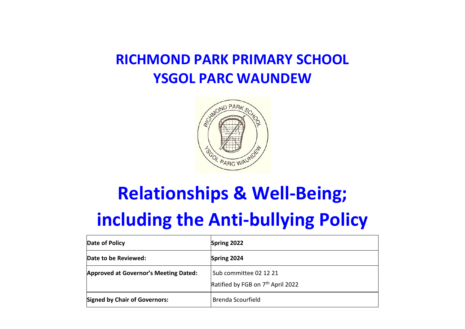# **RICHMOND PARK PRIMARY SCHOOL YSGOL PARC WAUNDEW**



# **Relationships & Well-Being;**

# **including the Anti-bullying Policy**

| Date of Policy                               | Spring 2022                                                             |
|----------------------------------------------|-------------------------------------------------------------------------|
| Date to be Reviewed:                         | Spring 2024                                                             |
| <b>Approved at Governor's Meeting Dated:</b> | Sub committee 02 12 21<br>Ratified by FGB on 7 <sup>th</sup> April 2022 |
| <b>Signed by Chair of Governors:</b>         | <b>Brenda Scourfield</b>                                                |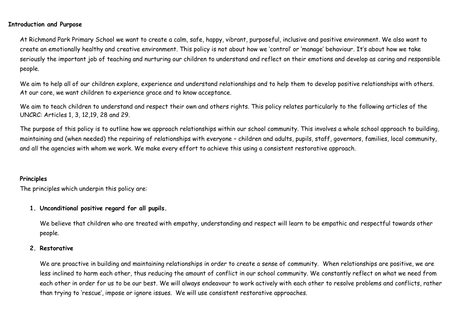### **Introduction and Purpose**

At Richmond Park Primary School we want to create a calm, safe, happy, vibrant, purposeful, inclusive and positive environment. We also want to create an emotionally healthy and creative environment. This policy is not about how we 'control' or 'manage' behaviour. It's about how we take seriously the important job of teaching and nurturing our children to understand and reflect on their emotions and develop as caring and responsible people.

We aim to help all of our children explore, experience and understand relationships and to help them to develop positive relationships with others. At our core, we want children to experience grace and to know acceptance.

We aim to teach children to understand and respect their own and others rights. This policy relates particularly to the following articles of the UNCRC: Articles 1, 3, 12,19, 28 and 29.

The purpose of this policy is to outline how we approach relationships within our school community. This involves a whole school approach to building, maintaining and (when needed) the repairing of relationships with everyone – children and adults, pupils, staff, governors, families, local community, and all the agencies with whom we work. We make every effort to achieve this using a consistent restorative approach.

### **Principles**

The principles which underpin this policy are:

### **1. Unconditional positive regard for all pupils.**

We believe that children who are treated with empathy, understanding and respect will learn to be empathic and respectful towards other people.

### **2. Restorative**

We are proactive in building and maintaining relationships in order to create a sense of community. When relationships are positive, we are less inclined to harm each other, thus reducing the amount of conflict in our school community. We constantly reflect on what we need from each other in order for us to be our best. We will always endeavour to work actively with each other to resolve problems and conflicts, rather than trying to 'rescue', impose or ignore issues. We will use consistent restorative approaches.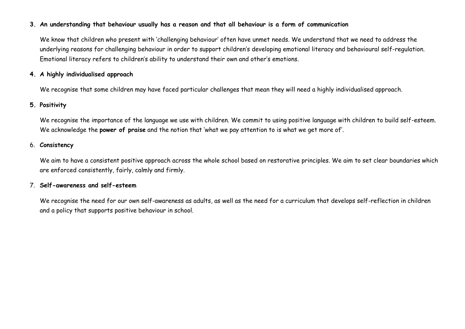### **3. An understanding that behaviour usually has a reason and that all behaviour is a form of communication**

We know that children who present with 'challenging behaviour' often have unmet needs. We understand that we need to address the underlying reasons for challenging behaviour in order to support children's developing emotional literacy and behavioural self-regulation. Emotional literacy refers to children's ability to understand their own and other's emotions.

### **4. A highly individualised approach**

We recognise that some children may have faced particular challenges that mean they will need a highly individualised approach.

### **5. Positivity**

We recognise the importance of the language we use with children. We commit to using positive language with children to build self-esteem. We acknowledge the **power of praise** and the notion that 'what we pay attention to is what we get more of'.

### 6. **Consistency**

We aim to have a consistent positive approach across the whole school based on restorative principles. We aim to set clear boundaries which are enforced consistently, fairly, calmly and firmly.

### 7. **Self-awareness and self-esteem**

We recognise the need for our own self-awareness as adults, as well as the need for a curriculum that develops self-reflection in children and a policy that supports positive behaviour in school.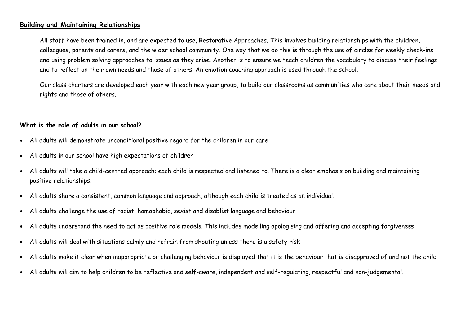### **Building and Maintaining Relationships**

All staff have been trained in, and are expected to use, Restorative Approaches. This involves building relationships with the children, colleagues, parents and carers, and the wider school community. One way that we do this is through the use of circles for weekly check-ins and using problem solving approaches to issues as they arise. Another is to ensure we teach children the vocabulary to discuss their feelings and to reflect on their own needs and those of others. An emotion coaching approach is used through the school.

Our class charters are developed each year with each new year group, to build our classrooms as communities who care about their needs and rights and those of others.

### **What is the role of adults in our school?**

- All adults will demonstrate unconditional positive regard for the children in our care
- All adults in our school have high expectations of children
- All adults will take a child-centred approach; each child is respected and listened to. There is a clear emphasis on building and maintaining positive relationships.
- All adults share a consistent, common language and approach, although each child is treated as an individual.
- All adults challenge the use of racist, homophobic, sexist and disablist language and behaviour
- All adults understand the need to act as positive role models. This includes modelling apologising and offering and accepting forgiveness
- All adults will deal with situations calmly and refrain from shouting unless there is a safety risk
- All adults make it clear when inappropriate or challenging behaviour is displayed that it is the behaviour that is disapproved of and not the child
- All adults will aim to help children to be reflective and self-aware, independent and self-regulating, respectful and non-judgemental.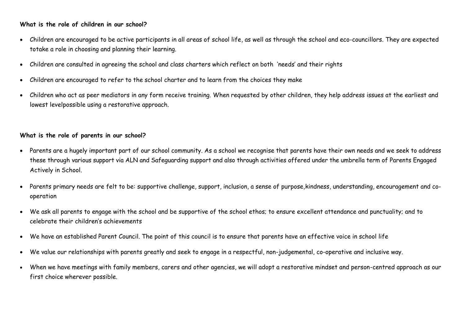### **What is the role of children in our school?**

- Children are encouraged to be active participants in all areas of school life, as well as through the school and eco-councillors. They are expected totake a role in choosing and planning their learning.
- Children are consulted in agreeing the school and class charters which reflect on both 'needs' and their rights
- Children are encouraged to refer to the school charter and to learn from the choices they make
- Children who act as peer mediators in any form receive training. When requested by other children, they help address issues at the earliest and lowest levelpossible using a restorative approach.

### **What is the role of parents in our school?**

- Parents are a hugely important part of our school community. As a school we recognise that parents have their own needs and we seek to address these through various support via ALN and Safeguarding support and also through activities offered under the umbrella term of Parents Engaged Actively in School.
- Parents primary needs are felt to be: supportive challenge, support, inclusion, a sense of purpose,kindness, understanding, encouragement and cooperation
- We ask all parents to engage with the school and be supportive of the school ethos; to ensure excellent attendance and punctuality; and to celebrate their children's achievements
- We have an established Parent Council. The point of this council is to ensure that parents have an effective voice in school life
- We value our relationships with parents greatly and seek to engage in a respectful, non-judgemental, co-operative and inclusive way.
- When we have meetings with family members, carers and other agencies, we will adopt a restorative mindset and person-centred approach as our first choice wherever possible.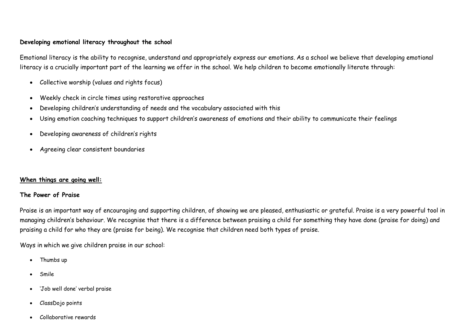### **Developing emotional literacy throughout the school**

Emotional literacy is the ability to recognise, understand and appropriately express our emotions. As a school we believe that developing emotional literacy is a crucially important part of the learning we offer in the school. We help children to become emotionally literate through:

- Collective worship (values and rights focus)
- Weekly check in circle times using restorative approaches
- Developing children's understanding of needs and the vocabulary associated with this
- Using emotion coaching techniques to support children's awareness of emotions and their ability to communicate their feelings
- Developing awareness of children's rights
- Agreeing clear consistent boundaries

### **When things are going well:**

### **The Power of Praise**

Praise is an important way of encouraging and supporting children, of showing we are pleased, enthusiastic or grateful. Praise is a very powerful tool in managing children's behaviour. We recognise that there is a difference between praising a child for something they have done (praise for doing) and praising a child for who they are (praise for being). We recognise that children need both types of praise.

Ways in which we give children praise in our school:

- Thumbs up
- Smile
- 'Job well done' verbal praise
- ClassDojo points
- Collaborative rewards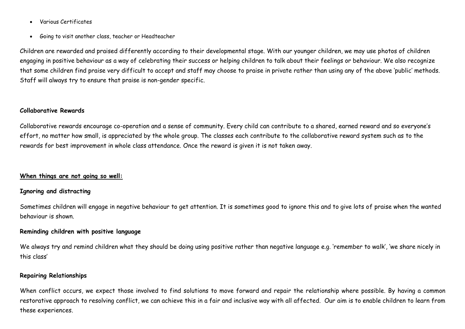- Various Certificates
- Going to visit another class, teacher or Headteacher

Children are rewarded and praised differently according to their developmental stage. With our younger children, we may use photos of children engaging in positive behaviour as a way of celebrating their success or helping children to talk about their feelings or behaviour. We also recognize that some children find praise very difficult to accept and staff may choose to praise in private rather than using any of the above 'public' methods. Staff will always try to ensure that praise is non-gender specific.

#### **Collaborative Rewards**

Collaborative rewards encourage co-operation and a sense of community. Every child can contribute to a shared, earned reward and so everyone's effort, no matter how small, is appreciated by the whole group. The classes each contribute to the collaborative reward system such as to the rewards for best improvement in whole class attendance. Once the reward is given it is not taken away.

#### **When things are not going so well:**

### **Ignoring and distracting**

Sometimes children will engage in negative behaviour to get attention. It is sometimes good to ignore this and to give lots of praise when the wanted behaviour is shown.

### **Reminding children with positive language**

We always try and remind children what they should be doing using positive rather than negative language e.g. 'remember to walk', 'we share nicely in this class'

### **Repairing Relationships**

When conflict occurs, we expect those involved to find solutions to move forward and repair the relationship where possible. By having a common restorative approach to resolving conflict, we can achieve this in a fair and inclusive way with all affected. Our aim is to enable children to learn from these experiences.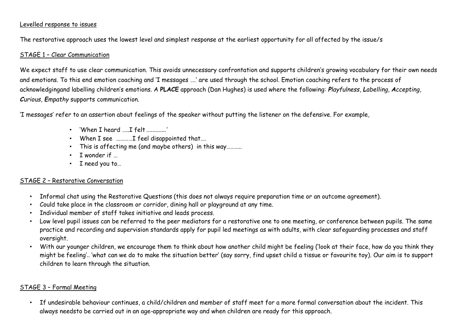### Levelled response to issues

The restorative approach uses the lowest level and simplest response at the earliest opportunity for all affected by the issue/s

### STAGE 1 – Clear Communication

We expect staff to use clear communication. This avoids unnecessary confrontation and supports children's growing vocabulary for their own needs and emotions. To this end emotion coaching and 'I messages ….' are used through the school. Emotion coaching refers to the process of acknowledgingand labelling children's emotions. A **PLACE** approach (Dan Hughes) is used where the following: *Playfulness*, *Labelling*, *Accepting*, *Curious*, *Empathy* supports communication.

'I messages' refer to an assertion about feelings of the speaker without putting the listener on the defensive. For example,

- 'When I heard .....I felt ............'
- When I see …………I feel disappointed that….
- This is affecting me (and maybe others) in this way………..
- I wonder if …
- I need you to…

### STAGE 2 – Restorative Conversation

- Informal chat using the Restorative Questions (this does not always require preparation time or an outcome agreement).
- Could take place in the classroom or corridor, dining hall or playground at any time.
- Individual member of staff takes initiative and leads process.
- Low level pupil issues can be referred to the peer mediators for a restorative one to one meeting, or conference between pupils. The same practice and recording and supervision standards apply for pupil led meetings as with adults, with clear safeguarding processes and staff oversight.
- With our younger children, we encourage them to think about how another child might be feeling ('look at their face, how do you think they might be feeling'.. 'what can we do to make the situation better' (say sorry, find upset child a tissue or favourite toy). Our aim is to support children to learn through the situation.

### STAGE 3 – Formal Meeting

• If undesirable behaviour continues, a child/children and member of staff meet for a more formal conversation about the incident. This always needsto be carried out in an age-appropriate way and when children are ready for this approach.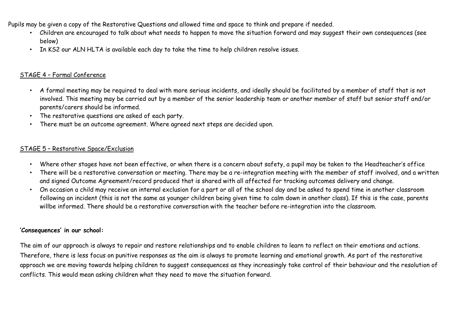Pupils may be given a copy of the Restorative Questions and allowed time and space to think and prepare if needed.

- Children are encouraged to talk about what needs to happen to move the situation forward and may suggest their own consequences (see below)
- In KS2 our ALN HLTA is available each day to take the time to help children resolve issues.

### STAGE 4 – Formal Conference

- A formal meeting may be required to deal with more serious incidents, and ideally should be facilitated by a member of staff that is not involved. This meeting may be carried out by a member of the senior leadership team or another member of staff but senior staff and/or parents/carers should be informed.
- The restorative questions are asked of each party.
- There must be an outcome agreement. Where agreed next steps are decided upon.

### STAGE 5 – Restorative Space/Exclusion

- Where other stages have not been effective, or when there is a concern about safety, a pupil may be taken to the Headteacher's office
- There will be a restorative conversation or meeting. There may be a re-integration meeting with the member of staff involved, and a written and signed Outcome Agreement/record produced that is shared with all affected for tracking outcomes delivery and change.
- On occasion a child may receive an internal exclusion for a part or all of the school day and be asked to spend time in another classroom following an incident (this is not the same as younger children being given time to calm down in another class). If this is the case, parents willbe informed. There should be a restorative conversation with the teacher before re-integration into the classroom.

### **'Consequences' in our school:**

The aim of our approach is always to repair and restore relationships and to enable children to learn to reflect on their emotions and actions. Therefore, there is less focus on punitive responses as the aim is always to promote learning and emotional growth. As part of the restorative approach we are moving towards helping children to suggest consequences as they increasingly take control of their behaviour and the resolution of conflicts. This would mean asking children what they need to move the situation forward.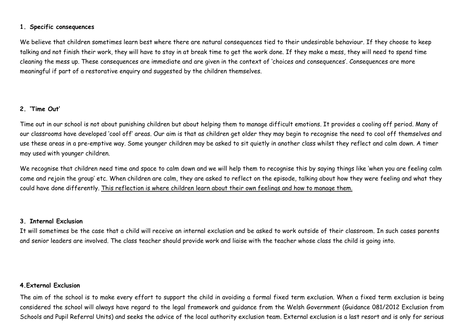### **1. Specific consequences**

We believe that children sometimes learn best where there are natural consequences tied to their undesirable behaviour. If they choose to keep talking and not finish their work, they will have to stay in at break time to get the work done. If they make a mess, they will need to spend time cleaning the mess up. These consequences are immediate and are given in the context of 'choices and consequences'. Consequences are more meaningful if part of a restorative enquiry and suggested by the children themselves.

### **2. 'Time Out'**

Time out in our school is not about punishing children but about helping them to manage difficult emotions. It provides a cooling off period. Many of our classrooms have developed 'cool off' areas. Our aim is that as children get older they may begin to recognise the need to cool off themselves and use these areas in a pre-emptive way. Some younger children may be asked to sit quietly in another class whilst they reflect and calm down. A timer may used with younger children.

We recognise that children need time and space to calm down and we will help them to recognise this by saying things like 'when you are feeling calm come and rejoin the group' etc. When children are calm, they are asked to reflect on the episode, talking about how they were feeling and what they could have done differently. This reflection is where children learn about their own feelings and how to manage them.

### **3. Internal Exclusion**

It will sometimes be the case that a child will receive an internal exclusion and be asked to work outside of their classroom. In such cases parents and senior leaders are involved. The class teacher should provide work and liaise with the teacher whose class the child is going into.

### **4.External Exclusion**

The aim of the school is to make every effort to support the child in avoiding a formal fixed term exclusion. When a fixed term exclusion is being considered the school will always have regard to the legal framework and guidance from the Welsh Government (Guidance 081/2012 Exclusion from Schools and Pupil Referral Units) and seeks the advice of the local authority exclusion team. External exclusion is a last resort and is only for serious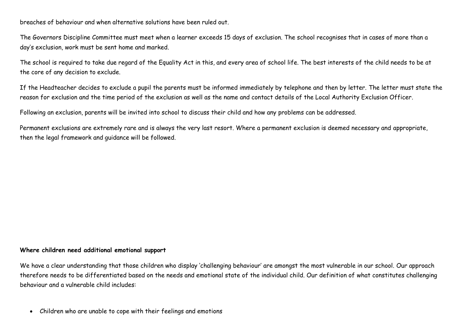breaches of behaviour and when alternative solutions have been ruled out.

The Governors Discipline Committee must meet when a learner exceeds 15 days of exclusion. The school recognises that in cases of more than a day's exclusion, work must be sent home and marked.

The school is required to take due regard of the Equality Act in this, and every area of school life. The best interests of the child needs to be at the core of any decision to exclude.

If the Headteacher decides to exclude a pupil the parents must be informed immediately by telephone and then by letter. The letter must state the reason for exclusion and the time period of the exclusion as well as the name and contact details of the Local Authority Exclusion Officer.

Following an exclusion, parents will be invited into school to discuss their child and how any problems can be addressed.

Permanent exclusions are extremely rare and is always the very last resort. Where a permanent exclusion is deemed necessary and appropriate, then the legal framework and guidance will be followed.

### **Where children need additional emotional support**

We have a clear understanding that those children who display 'challenging behaviour' are amongst the most vulnerable in our school. Our approach therefore needs to be differentiated based on the needs and emotional state of the individual child. Our definition of what constitutes challenging behaviour and a vulnerable child includes:

• Children who are unable to cope with their feelings and emotions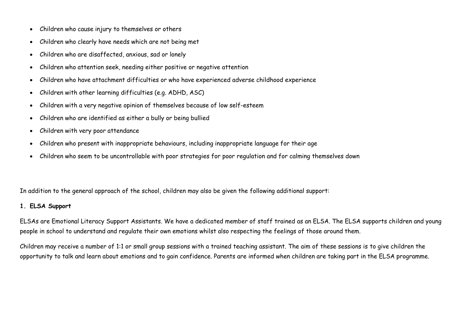- Children who cause injury to themselves or others
- Children who clearly have needs which are not being met
- Children who are disaffected, anxious, sad or lonely
- Children who attention seek, needing either positive or negative attention
- Children who have attachment difficulties or who have experienced adverse childhood experience
- Children with other learning difficulties (e.g. ADHD, ASC)
- Children with a very negative opinion of themselves because of low self-esteem
- Children who are identified as either a bully or being bullied
- Children with very poor attendance
- Children who present with inappropriate behaviours, including inappropriate language for their age
- Children who seem to be uncontrollable with poor strategies for poor regulation and for calming themselves down

In addition to the general approach of the school, children may also be given the following additional support:

### **1. ELSA Support**

ELSAs are Emotional Literacy Support Assistants. We have a dedicated member of staff trained as an ELSA. The ELSA supports children and young people in school to understand and regulate their own emotions whilst also respecting the feelings of those around them.

Children may receive a number of 1:1 or small group sessions with a trained teaching assistant. The aim of these sessions is to give children the opportunity to talk and learn about emotions and to gain confidence. Parents are informed when children are taking part in the ELSA programme.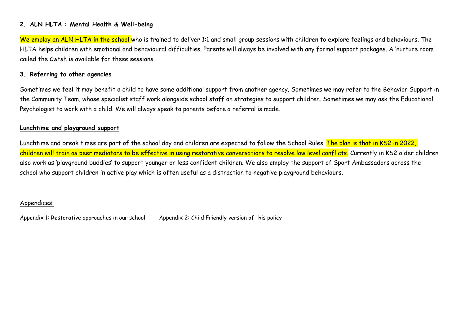### **2. ALN HLTA : Mental Health & Well-being**

We employ an ALN HLTA in the school who is trained to deliver 1:1 and small group sessions with children to explore feelings and behaviours. The HLTA helps children with emotional and behavioural difficulties. Parents will always be involved with any formal support packages. A 'nurture room' called the Cwtsh is available for these sessions.

### **3. Referring to other agencies**

Sometimes we feel it may benefit a child to have some additional support from another agency. Sometimes we may refer to the Behavior Support in the Community Team, whose specialist staff work alongside school staff on strategies to support children. Sometimes we may ask the Educational Psychologist to work with a child. We will always speak to parents before a referral is made.

### **Lunchtime and playground support**

Lunchtime and break times are part of the school day and children are expected to follow the School Rules. The plan is that in KS2 in 2022, children will train as peer mediators to be effective in using restorative conversations to resolve low level conflicts. Currently in KS2 older children also work as 'playground buddies' to support younger or less confident children. We also employ the support of Sport Ambassadors across the school who support children in active play which is often useful as a distraction to negative playground behaviours.

### Appendices:

Appendix 1: Restorative approaches in our school Appendix 2: Child Friendly version of this policy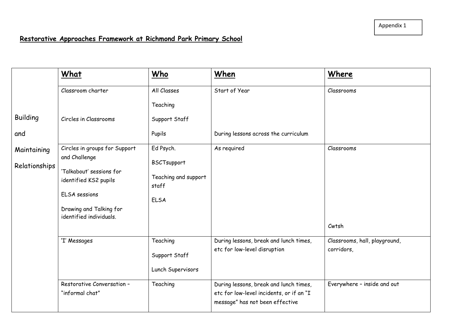### **Restorative Approaches Framework at Richmond Park Primary School**

|                              | What                                               | Who                             | When                                                                                                                  | Where                                       |
|------------------------------|----------------------------------------------------|---------------------------------|-----------------------------------------------------------------------------------------------------------------------|---------------------------------------------|
|                              | Classroom charter                                  | All Classes<br>Teaching         | Start of Year                                                                                                         | Classrooms                                  |
| <b>Building</b>              | Circles in Classrooms                              | Support Staff                   |                                                                                                                       |                                             |
| and                          |                                                    | Pupils                          | During lessons across the curriculum                                                                                  |                                             |
| Maintaining<br>Relationships | Circles in groups for Support<br>and Challenge     | Ed Psych.<br><b>BSCTsupport</b> | As required                                                                                                           | Classrooms                                  |
|                              | 'Talkabout' sessions for<br>identified KS2 pupils  | Teaching and support<br>staff   |                                                                                                                       |                                             |
|                              | <b>ELSA</b> sessions                               | <b>ELSA</b>                     |                                                                                                                       |                                             |
|                              | Drawing and Talking for<br>identified individuals. |                                 |                                                                                                                       |                                             |
|                              |                                                    |                                 |                                                                                                                       | Cwtsh                                       |
|                              | 'I' Messages                                       | Teaching<br>Support Staff       | During lessons, break and lunch times,<br>etc for low-level disruption                                                | Classrooms, hall, playground,<br>corridors, |
|                              |                                                    | Lunch Supervisors               |                                                                                                                       |                                             |
|                              | Restorative Conversation -<br>"informal chat"      | Teaching                        | During lessons, break and lunch times,<br>etc for low-level incidents, or if an "I<br>message" has not been effective | Everywhere - inside and out                 |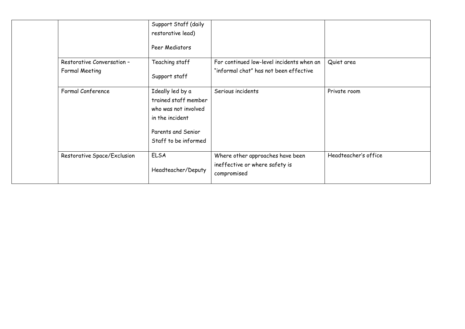|                             | Support Staff (daily                                                                                                              |                                                                                   |                      |
|-----------------------------|-----------------------------------------------------------------------------------------------------------------------------------|-----------------------------------------------------------------------------------|----------------------|
|                             | restorative lead)                                                                                                                 |                                                                                   |                      |
|                             | Peer Mediators                                                                                                                    |                                                                                   |                      |
| Restorative Conversation -  | Teaching staff                                                                                                                    | For continued low-level incidents when an                                         | Quiet area           |
| Formal Meeting              | Support staff                                                                                                                     | "informal chat" has not been effective                                            |                      |
| Formal Conference           | Ideally led by a<br>trained staff member<br>who was not involved<br>in the incident<br>Parents and Senior<br>Staff to be informed | Serious incidents                                                                 | Private room         |
| Restorative Space/Exclusion | <b>ELSA</b><br>Headteacher/Deputy                                                                                                 | Where other approaches have been<br>ineffective or where safety is<br>compromised | Headteacher's office |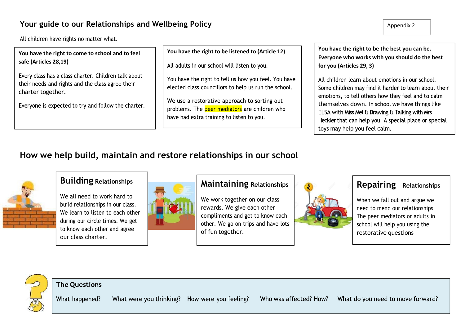### **Your guide to our Relationships and Wellbeing Policy**

All children have rights no matter what.

**You have the right to come to school and to feel safe (Articles 28,19)**

Every class has a class charter. Children talk about their needs and rights and the class agree their charter together.

Everyone is expected to try and follow the charter.

All adults in our school will listen to you.

You have the right to tell us how you feel. You have elected class councillors to help us run the school.

We use a restorative approach to sorting out problems. The peer mediators are children who have had extra training to listen to you.

**You have the right to be listened to (Article 12) You have the right to be the best you can be. Everyone who works with you should do the best for you (Articles 29, 3)**

> All children learn about emotions in our school. Some children may find it harder to learn about their emotions, to tell others how they feel and to calm themselves down. In school we have things like ELSA with Miss Mel & Drawing & Talking with Mrs Heckler that can help you. A special place or special toys may help you feel calm.

## **How we help build, maintain and restore relationships in our school**



### **Building Relationships**

We all need to work hard to build relationships in our class. We learn to listen to each other during our circle times. We get to know each other and agree our class charter.



### **Maintaining Relationships**

We work together on our class rewards. We give each other compliments and get to know each other. We go on trips and have lots of fun together.



### **Repairing Relationships**

When we fall out and argue we need to mend our relationships. The peer mediators or adults in school will help you using the restorative questions



### **The Questions**

What happened? What were you thinking? How were you feeling?

Who was affected? How? What do you need to move forward?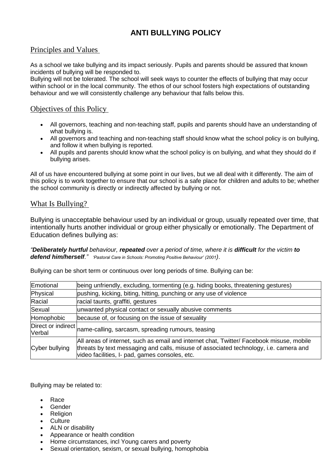### **ANTI BULLYING POLICY**

### Principles and Values

As a school we take bullying and its impact seriously. Pupils and parents should be assured that known incidents of bullying will be responded to.

Bullying will not be tolerated. The school will seek ways to counter the effects of bullying that may occur within school or in the local community. The ethos of our school fosters high expectations of outstanding behaviour and we will consistently challenge any behaviour that falls below this.

### Objectives of this Policy

- All governors, teaching and non-teaching staff, pupils and parents should have an understanding of what bullying is.
- All governors and teaching and non-teaching staff should know what the school policy is on bullying, and follow it when bullying is reported.
- All pupils and parents should know what the school policy is on bullying, and what they should do if bullying arises.

All of us have encountered bullying at some point in our lives, but we all deal with it differently. The aim of this policy is to work together to ensure that our school is a safe place for children and adults to be; whether the school community is directly or indirectly affected by bullying or not.

### What Is Bullying?

Bullying is unacceptable behaviour used by an individual or group, usually repeated over time, that intentionally hurts another individual or group either physically or emotionally. The Department of Education defines bullying as:

*"Deliberately hurtful behaviour, repeated over a period of time, where it is difficult for the victim to defend him/herself." 'Pastoral Care in Schools: Promoting Positive Behaviour' (2001)*.

Bullying can be short term or continuous over long periods of time. Bullying can be:

| Emotional      | being unfriendly, excluding, tormenting (e.g. hiding books, threatening gestures)                                                                                                                                                   |  |  |
|----------------|-------------------------------------------------------------------------------------------------------------------------------------------------------------------------------------------------------------------------------------|--|--|
| Physical       | pushing, kicking, biting, hitting, punching or any use of violence                                                                                                                                                                  |  |  |
| Racial         | racial taunts, graffiti, gestures                                                                                                                                                                                                   |  |  |
| Sexual         | unwanted physical contact or sexually abusive comments                                                                                                                                                                              |  |  |
| Homophobic     | because of, or focusing on the issue of sexuality                                                                                                                                                                                   |  |  |
|                | Direct or indirect name-calling, sarcasm, spreading rumours, teasing                                                                                                                                                                |  |  |
| Cyber bullying | All areas of internet, such as email and internet chat, Twitter/ Facebook misuse, mobile<br>threats by text messaging and calls, misuse of associated technology, i.e. camera and<br>video facilities, I- pad, games consoles, etc. |  |  |

Bullying may be related to:

- Race
- Gender
- Religion
- Culture
- ALN or disability
- Appearance or health condition
- Home circumstances, incl Young carers and poverty
- Sexual orientation, sexism, or sexual bullying, homophobia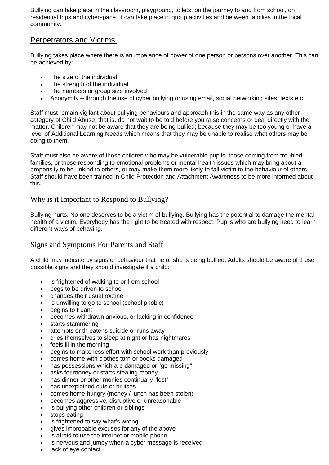Bullying can take place in the classroom, playground, toilets, on the journey to and from school, on residential trips and cyberspace. It can take place in group activities and between families in the local community.

### Perpetrators and Victims

Bullying takes place where there is an imbalance of power of one person or persons over another. This can be achieved by:

- The size of the individual.
- The strength of the individual
- The numbers or group size involved
- Anonymity through the use of cyber bullying or using email, social networking sites, texts etc

Staff must remain vigilant about bullying behaviours and approach this in the same way as any other category of Child Abuse; that is, do not wait to be told before you raise concerns or deal directly with the matter. Children may not be aware that they are being bullied; because they may be too young or have a level of Additional Learning Needs which means that they may be unable to realise what others may be doing to them.

Staff must also be aware of those children who may be vulnerable pupils; those coming from troubled families, or those responding to emotional problems or mental health issues which may bring about a propensity to be unkind to others, or may make them more likely to fall victim to the behaviour of others. Staff should have been trained in Child Protection and Attachment Awareness to be more informed about this.

### Why is it Important to Respond to Bullying?

Bullying hurts. No one deserves to be a victim of bullying. Bullying has the potential to damage the mental health of a victim. Everybody has the right to be treated with respect. Pupils who are bullying need to learn different ways of behaving.

### Signs and Symptoms For Parents and Staff

A child may indicate by signs or behaviour that he or she is being bullied. Adults should be aware of these possible signs and they should investigate if a child:

- is frightened of walking to or from school
- begs to be driven to school
- changes their usual routine
- is unwilling to go to school (school phobic)
- begins to truant
- becomes withdrawn anxious, or lacking in confidence
- starts stammering
- attempts or threatens suicide or runs away
- cries themselves to sleep at night or has nightmares
- feels ill in the morning
- begins to make less effort with school work than previously
- comes home with clothes torn or books damaged
- has possessions which are damaged or "go missing"
- asks for money or starts stealing money
- has dinner or other monies continually "lost"
- has unexplained cuts or bruises
- comes home hungry (money / lunch has been stolen)
- becomes aggressive, disruptive or unreasonable
- is bullying other children or siblings
- stops eating
- is frightened to say what's wrong
- gives improbable excuses for any of the above
- is afraid to use the internet or mobile phone
- is nervous and jumpy when a cyber message is received
- lack of eye contact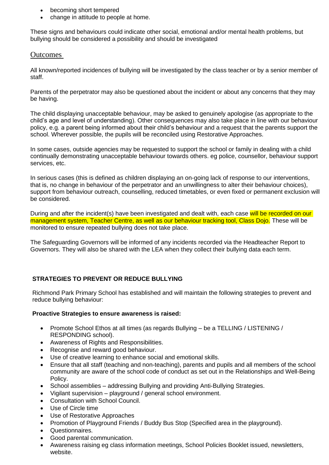- becoming short tempered
- change in attitude to people at home.

These signs and behaviours could indicate other social, emotional and/or mental health problems, but bullying should be considered a possibility and should be investigated

### **Outcomes**

All known/reported incidences of bullying will be investigated by the class teacher or by a senior member of staff.

Parents of the perpetrator may also be questioned about the incident or about any concerns that they may be having.

The child displaying unacceptable behaviour, may be asked to genuinely apologise (as appropriate to the child's age and level of understanding). Other consequences may also take place in line with our behaviour policy, e.g. a parent being informed about their child's behaviour and a request that the parents support the school. Wherever possible, the pupils will be reconciled using Restorative Approaches.

In some cases, outside agencies may be requested to support the school or family in dealing with a child continually demonstrating unacceptable behaviour towards others. eg police, counsellor, behaviour support services, etc.

In serious cases (this is defined as children displaying an on-going lack of response to our interventions, that is, no change in behaviour of the perpetrator and an unwillingness to alter their behaviour choices), support from behaviour outreach, counselling, reduced timetables, or even fixed or permanent exclusion will be considered.

During and after the incident(s) have been investigated and dealt with, each case will be recorded on our management system, Teacher Centre, as well as our behaviour tracking tool, Class Dojo. These will be monitored to ensure repeated bullying does not take place.

The Safeguarding Governors will be informed of any incidents recorded via the Headteacher Report to Governors. They will also be shared with the LEA when they collect their bullying data each term.

### **STRATEGIES TO PREVENT OR REDUCE BULLYING**

Richmond Park Primary School has established and will maintain the following strategies to prevent and reduce bullying behaviour:

#### **Proactive Strategies to ensure awareness is raised:**

- Promote School Ethos at all times (as regards Bullying be a TELLING / LISTENING / RESPONDING school).
- Awareness of Rights and Responsibilities.
- Recognise and reward good behaviour.
- Use of creative learning to enhance social and emotional skills.
- Ensure that all staff (teaching and non-teaching), parents and pupils and all members of the school community are aware of the school code of conduct as set out in the Relationships and Well-Being Policy.
- School assemblies addressing Bullying and providing Anti-Bullying Strategies.
- Vigilant supervision playground / general school environment.
- Consultation with School Council.
- Use of Circle time
- Use of Restorative Approaches
- Promotion of Playground Friends / Buddy Bus Stop (Specified area in the playground).
- Questionnaires.
- Good parental communication.
- Awareness raising eg class information meetings, School Policies Booklet issued, newsletters, website.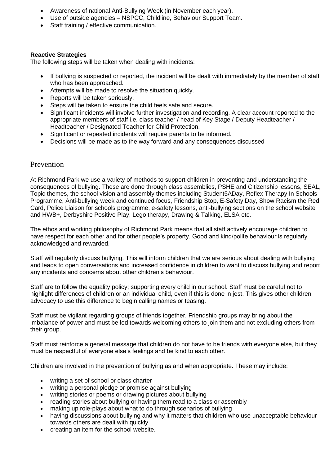- Awareness of national Anti-Bullying Week (in November each year).
- Use of outside agencies NSPCC, Childline, Behaviour Support Team.
- Staff training / effective communication.

### **Reactive Strategies**

The following steps will be taken when dealing with incidents:

- If bullying is suspected or reported, the incident will be dealt with immediately by the member of staff who has been approached.
- Attempts will be made to resolve the situation quickly.
- Reports will be taken seriously.
- Steps will be taken to ensure the child feels safe and secure.
- Significant incidents will involve further investigation and recording. A clear account reported to the appropriate members of staff i.e. class teacher / head of Key Stage / Deputy Headteacher / Headteacher / Designated Teacher for Child Protection.
- Significant or repeated incidents will require parents to be informed.
- Decisions will be made as to the way forward and any consequences discussed

### Prevention

At Richmond Park we use a variety of methods to support children in preventing and understanding the consequences of bullying. These are done through class assemblies, PSHE and Citizenship lessons, SEAL, Topic themes, the school vision and assembly themes including Student5ADay, Reflex Therapy In Schools Programme, Anti-bullying week and continued focus, Friendship Stop, E-Safety Day, Show Racism the Red Card, Police Liaison for schools programme, e-safety lessons, anti-bullying sections on the school website and HWB+, Derbyshire Positive Play, Lego therapy, Drawing & Talking, ELSA etc.

The ethos and working philosophy of Richmond Park means that all staff actively encourage children to have respect for each other and for other people's property. Good and kind/polite behaviour is regularly acknowledged and rewarded.

Staff will regularly discuss bullying. This will inform children that we are serious about dealing with bullying and leads to open conversations and increased confidence in children to want to discuss bullying and report any incidents and concerns about other children's behaviour.

Staff are to follow the equality policy; supporting every child in our school. Staff must be careful not to highlight differences of children or an individual child, even if this is done in jest. This gives other children advocacy to use this difference to begin calling names or teasing.

Staff must be vigilant regarding groups of friends together. Friendship groups may bring about the imbalance of power and must be led towards welcoming others to join them and not excluding others from their group.

Staff must reinforce a general message that children do not have to be friends with everyone else, but they must be respectful of everyone else's feelings and be kind to each other.

Children are involved in the prevention of bullying as and when appropriate. These may include:

- writing a set of school or class charter
- writing a personal pledge or promise against bullying
- writing stories or poems or drawing pictures about bullying
- reading stories about bullying or having them read to a class or assembly
- making up role-plays about what to do through scenarios of bullying
- having discussions about bullying and why it matters that children who use unacceptable behaviour towards others are dealt with quickly
- creating an item for the school website.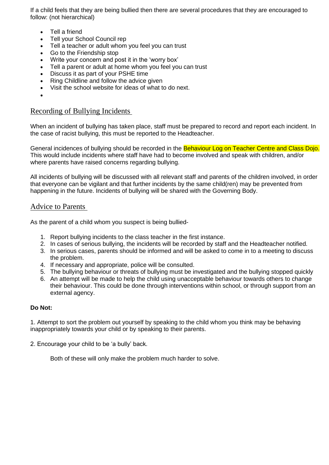If a child feels that they are being bullied then there are several procedures that they are encouraged to follow: (not hierarchical)

- Tell a friend
- Tell your School Council rep
- Tell a teacher or adult whom you feel you can trust
- Go to the Friendship stop
- Write your concern and post it in the 'worry box'
- Tell a parent or adult at home whom you feel you can trust
- Discuss it as part of your PSHE time
- Ring Childline and follow the advice given
- Visit the school website for ideas of what to do next.
- •

### Recording of Bullying Incidents

When an incident of bullying has taken place, staff must be prepared to record and report each incident. In the case of racist bullying, this must be reported to the Headteacher.

General incidences of bullying should be recorded in the **Behaviour Log on Teacher Centre and Class Doio.** This would include incidents where staff have had to become involved and speak with children, and/or where parents have raised concerns regarding bullying.

All incidents of bullying will be discussed with all relevant staff and parents of the children involved, in order that everyone can be vigilant and that further incidents by the same child(ren) may be prevented from happening in the future. Incidents of bullying will be shared with the Governing Body.

### Advice to Parents

As the parent of a child whom you suspect is being bullied-

- 1. Report bullying incidents to the class teacher in the first instance.
- 2. In cases of serious bullying, the incidents will be recorded by staff and the Headteacher notified.
- 3. In serious cases, parents should be informed and will be asked to come in to a meeting to discuss the problem.
- 4. If necessary and appropriate, police will be consulted.
- 5. The bullying behaviour or threats of bullying must be investigated and the bullying stopped quickly
- 6. An attempt will be made to help the child using unacceptable behaviour towards others to change their behaviour. This could be done through interventions within school, or through support from an external agency.

#### **Do Not:**

1. Attempt to sort the problem out yourself by speaking to the child whom you think may be behaving inappropriately towards your child or by speaking to their parents.

2. Encourage your child to be 'a bully' back.

Both of these will only make the problem much harder to solve.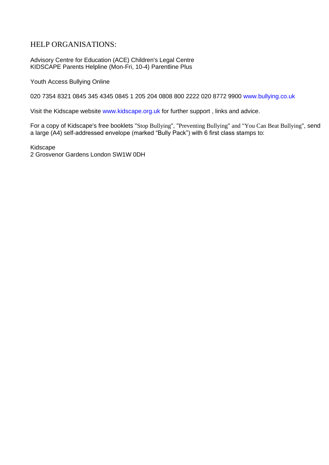### HELP ORGANISATIONS:

Advisory Centre for Education (ACE) Children's Legal Centre KIDSCAPE Parents Helpline (Mon-Fri, 10-4) Parentline Plus

Youth Access Bullying Online

020 7354 8321 0845 345 4345 0845 1 205 204 0808 800 2222 020 8772 9900 www.bullying.co.uk

Visit the Kidscape website www.kidscape.org.uk for further support , links and advice.

For a copy of Kidscape's free booklets "Stop Bullying", "Preventing Bullying" and "You Can Beat Bullying", send a large (A4) self-addressed envelope (marked "Bully Pack") with 6 first class stamps to:

Kidscape 2 Grosvenor Gardens London SW1W 0DH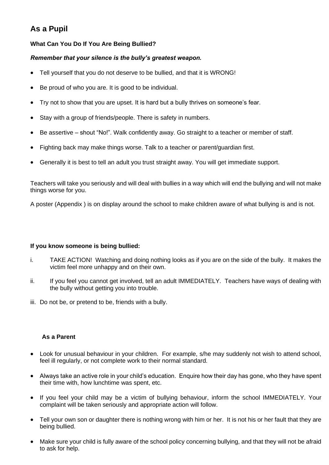### **As a Pupil**

### **What Can You Do If You Are Being Bullied?**

### *Remember that your silence is the bully's greatest weapon.*

- Tell yourself that you do not deserve to be bullied, and that it is WRONG!
- Be proud of who you are. It is good to be individual.
- Try not to show that you are upset. It is hard but a bully thrives on someone's fear.
- Stay with a group of friends/people. There is safety in numbers.
- Be assertive shout "No!". Walk confidently away. Go straight to a teacher or member of staff.
- Fighting back may make things worse. Talk to a teacher or parent/guardian first.
- Generally it is best to tell an adult you trust straight away. You will get immediate support.

Teachers will take you seriously and will deal with bullies in a way which will end the bullying and will not make things worse for you.

A poster (Appendix ) is on display around the school to make children aware of what bullying is and is not.

#### **If you know someone is being bullied:**

- i. TAKE ACTION! Watching and doing nothing looks as if you are on the side of the bully. It makes the victim feel more unhappy and on their own.
- ii. If you feel you cannot get involved, tell an adult IMMEDIATELY. Teachers have ways of dealing with the bully without getting you into trouble.
- iii. Do not be, or pretend to be, friends with a bully.

### **As a Parent**

- Look for unusual behaviour in your children. For example, s/he may suddenly not wish to attend school, feel ill regularly, or not complete work to their normal standard.
- Always take an active role in your child's education. Enquire how their day has gone, who they have spent their time with, how lunchtime was spent, etc.
- If you feel your child may be a victim of bullying behaviour, inform the school IMMEDIATELY. Your complaint will be taken seriously and appropriate action will follow.
- Tell your own son or daughter there is nothing wrong with him or her. It is not his or her fault that they are being bullied.
- Make sure your child is fully aware of the school policy concerning bullying, and that they will not be afraid to ask for help.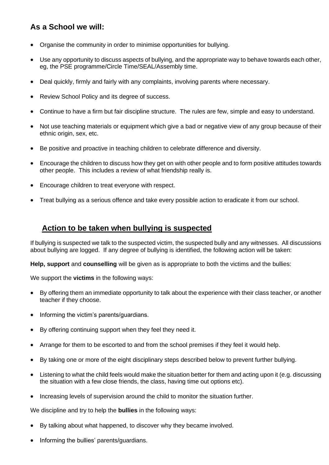### **As a School we will:**

- Organise the community in order to minimise opportunities for bullying.
- Use any opportunity to discuss aspects of bullying, and the appropriate way to behave towards each other, eg, the PSE programme/Circle Time/SEAL/Assembly time.
- Deal quickly, firmly and fairly with any complaints, involving parents where necessary.
- Review School Policy and its degree of success.
- Continue to have a firm but fair discipline structure. The rules are few, simple and easy to understand.
- Not use teaching materials or equipment which give a bad or negative view of any group because of their ethnic origin, sex, etc.
- Be positive and proactive in teaching children to celebrate difference and diversity.
- Encourage the children to discuss how they get on with other people and to form positive attitudes towards other people. This includes a review of what friendship really is.
- Encourage children to treat everyone with respect.
- Treat bullying as a serious offence and take every possible action to eradicate it from our school.

### **Action to be taken when bullying is suspected**

If bullying is suspected we talk to the suspected victim, the suspected bully and any witnesses. All discussions about bullying are logged. If any degree of bullying is identified, the following action will be taken:

**Help, support** and **counselling** will be given as is appropriate to both the victims and the bullies:

We support the **victims** in the following ways:

- By offering them an immediate opportunity to talk about the experience with their class teacher, or another teacher if they choose.
- Informing the victim's parents/guardians.
- By offering continuing support when they feel they need it.
- Arrange for them to be escorted to and from the school premises if they feel it would help.
- By taking one or more of the eight disciplinary steps described below to prevent further bullying.
- Listening to what the child feels would make the situation better for them and acting upon it (e.g. discussing the situation with a few close friends, the class, having time out options etc).
- Increasing levels of supervision around the child to monitor the situation further.

We discipline and try to help the **bullies** in the following ways:

- By talking about what happened, to discover why they became involved.
- Informing the bullies' parents/guardians.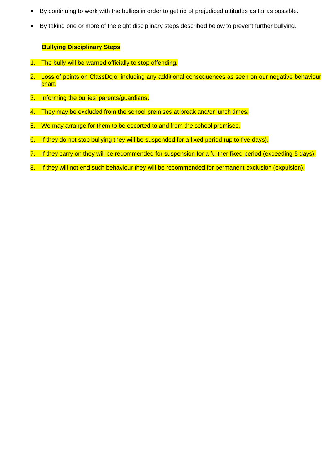- By continuing to work with the bullies in order to get rid of prejudiced attitudes as far as possible.
- By taking one or more of the eight disciplinary steps described below to prevent further bullying.

### **Bullying Disciplinary Steps**

- 1. The bully will be warned officially to stop offending.
- 2. Loss of points on ClassDojo, including any additional consequences as seen on our negative behaviour chart.
- 3. Informing the bullies' parents/guardians.
- 4. They may be excluded from the school premises at break and/or lunch times.
- 5. We may arrange for them to be escorted to and from the school premises.
- 6. If they do not stop bullying they will be suspended for a fixed period (up to five days).
- 7. If they carry on they will be recommended for suspension for a further fixed period (exceeding 5 days).
- 8. If they will not end such behaviour they will be recommended for permanent exclusion (expulsion).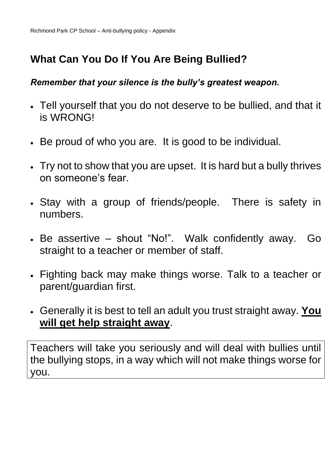## **What Can You Do If You Are Being Bullied?**

### *Remember that your silence is the bully's greatest weapon.*

- Tell yourself that you do not deserve to be bullied, and that it is WRONG!
- Be proud of who you are. It is good to be individual.
- Try not to show that you are upset. It is hard but a bully thrives on someone's fear.
- Stay with a group of friends/people. There is safety in numbers.
- Be assertive shout "No!". Walk confidently away. Go straight to a teacher or member of staff.
- Fighting back may make things worse. Talk to a teacher or parent/guardian first.
- Generally it is best to tell an adult you trust straight away. **You will get help straight away**.

Teachers will take you seriously and will deal with bullies until the bullying stops, in a way which will not make things worse for you.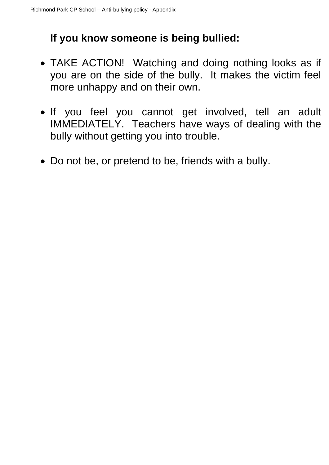## **If you know someone is being bullied:**

- TAKE ACTION! Watching and doing nothing looks as if you are on the side of the bully. It makes the victim feel more unhappy and on their own.
- If you feel you cannot get involved, tell an adult IMMEDIATELY. Teachers have ways of dealing with the bully without getting you into trouble.
- Do not be, or pretend to be, friends with a bully.